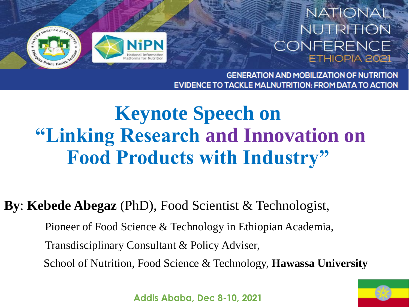

**GENERATION AND MOBILIZATION OF NUTRITION** EVIDENCE TO TACKLE MALNUTRITION: FROM DATA TO ACTION

# **Keynote Speech on "Linking Research and Innovation on Food Products with Industry"**

**By**: **Kebede Abegaz** (PhD), Food Scientist & Technologist,

Pioneer of Food Science & Technology in Ethiopian Academia, Transdisciplinary Consultant & Policy Adviser, School of Nutrition, Food Science & Technology, **Hawassa University**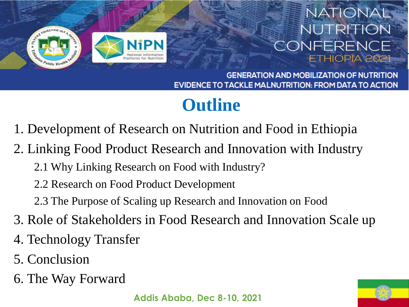

**GENERATION AND MOBILIZATION OF NUTRITION EVIDENCE TO TACKLE MALNUTRITION: FROM DATA TO ACTION** 

# **Outline**

1. Development of Research on Nutrition and Food in Ethiopia

2. Linking Food Product Research and Innovation with Industry

- 2.1 Why Linking Research on Food with Industry?
- 2.2 Research on Food Product Development
- 2.3 The Purpose of Scaling up Research and Innovation on Food
- 3. Role of Stakeholders in Food Research and Innovation Scale up
- 4. Technology Transfer
- 5. Conclusion
- 6. The Way Forward

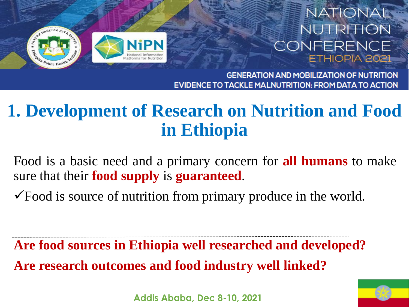

**GENERATION AND MOBILIZATION OF NUTRITION** EVIDENCE TO TACKLE MALNUTRITION: FROM DATA TO ACTION

### **1. Development of Research on Nutrition and Food in Ethiopia**

Food is a basic need and a primary concern for **all humans** to make sure that their **food supply** is **guaranteed**.

 $\checkmark$  Food is source of nutrition from primary produce in the world.

**Are food sources in Ethiopia well researched and developed? Are research outcomes and food industry well linked?**



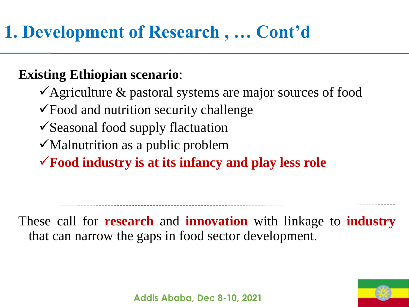**Existing Ethiopian scenario**:

 $\checkmark$  Agriculture & pastoral systems are major sources of food

Food and nutrition security challenge

 $\checkmark$  Seasonal food supply flactuation

 $\checkmark$  Malnutrition as a public problem

**Food industry is at its infancy and play less role**

These call for **research** and **innovation** with linkage to **industry** that can narrow the gaps in food sector development.

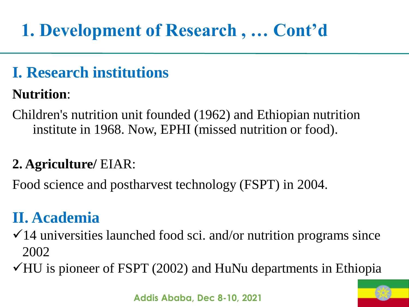# **1. Development of Research , … Cont'd**

### **I. Research institutions**

#### **Nutrition**:

Children's nutrition unit founded (1962) and Ethiopian nutrition institute in 1968. Now, EPHI (missed nutrition or food).

#### **2. Agriculture/** EIAR:

Food science and postharvest technology (FSPT) in 2004.

### **II. Academia**

- $\checkmark$  14 universities launched food sci. and/or nutrition programs since 2002
- $\checkmark$ HU is pioneer of FSPT (2002) and HuNu departments in Ethiopia

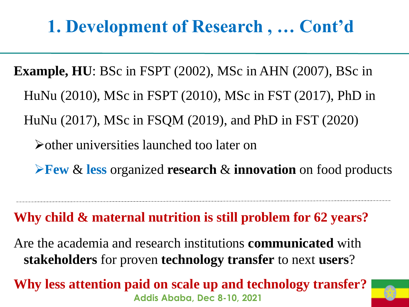# **1. Development of Research , … Cont'd**

**Example, HU**: BSc in FSPT (2002), MSc in AHN (2007), BSc in HuNu (2010), MSc in FSPT (2010), MSc in FST (2017), PhD in HuNu (2017), MSc in FSQM (2019), and PhD in FST (2020) other universities launched too later on **Few** & **less** organized **research** & **innovation** on food products

**Why child & maternal nutrition is still problem for 62 years?**

Are the academia and research institutions **communicated** with **stakeholders** for proven **technology transfer** to next **users**?

**Addis Ababa, Dec 8-10, 2021 Why less attention paid on scale up and technology transfer?**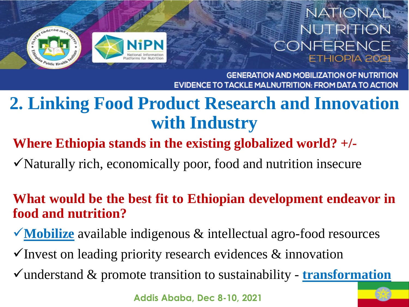

**GENERATION AND MOBILIZATION OF NUTRITION** TACKLE MALNUTRITION: FROM DATA TO ACTION

### **2. Linking Food Product Research and Innovation with Industry**

**Where Ethiopia stands in the existing globalized world? +/-**

Naturally rich, economically poor, food and nutrition insecure

#### **What would be the best fit to Ethiopian development endeavor in food and nutrition?**

**Mobilize** available indigenous & intellectual agro-food resources

 $\checkmark$  Invest on leading priority research evidences  $\&$  innovation

understand & promote transition to sustainability - **transformation**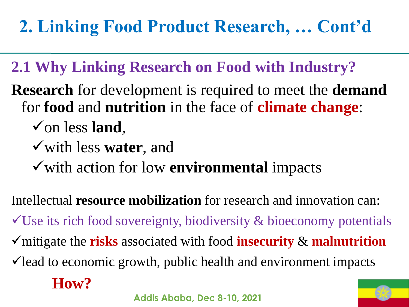### **2.1 Why Linking Research on Food with Industry?**

- **Research** for development is required to meet the **demand** for **food** and **nutrition** in the face of **climate change**:
	- $\checkmark$  on less land,
	- with less **water**, and
	- with action for low **environmental** impacts

Intellectual **resource mobilization** for research and innovation can:

 $\checkmark$ Use its rich food sovereignty, biodiversity & bioeconomy potentials

- mitigate the **risks** associated with food **insecurity** & **malnutrition**
- $\checkmark$  lead to economic growth, public health and environment impacts

### **How?**

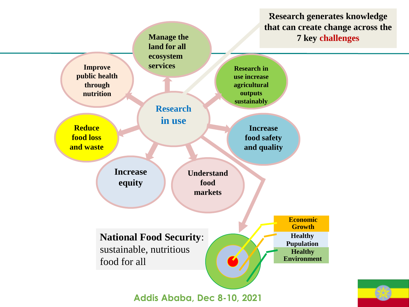**Research generates knowledge that can create change across the** 

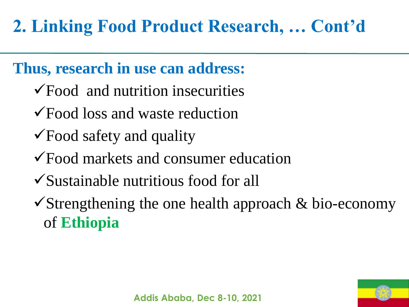### **Thus, research in use can address:**

- $\sqrt{$  Food and nutrition insecurities
- Food loss and waste reduction
- Food safety and quality
- Food markets and consumer education
- Sustainable nutritious food for all
- $\checkmark$ Strengthening the one health approach & bio-economy of **Ethiopia**

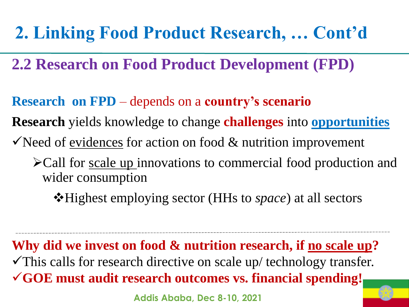- **2.2 Research on Food Product Development (FPD)**
- **Research on FPD** depends on a **country's scenario**
- **Research** yields knowledge to change **challenges** into **opportunities**
- $\checkmark$  Need of evidences for action on food  $\&$  nutrition improvement
	- Call for scale up innovations to commercial food production and wider consumption
		- **\*Highest employing sector (HHs to** *space***) at all sectors**

**Why did we invest on food & nutrition research, if no scale up?**  $\checkmark$ This calls for research directive on scale up/ technology transfer. **GOE must audit research outcomes vs. financial spending!**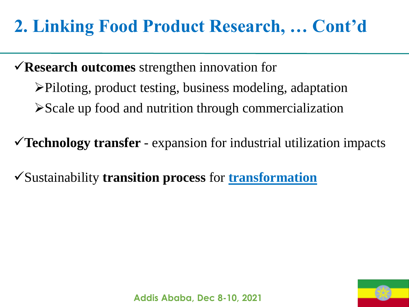**Research outcomes** strengthen innovation for

Piloting, product testing, business modeling, adaptation  $\triangleright$  Scale up food and nutrition through commercialization

**Technology transfer** - expansion for industrial utilization impacts

Sustainability **transition process** for **transformation**

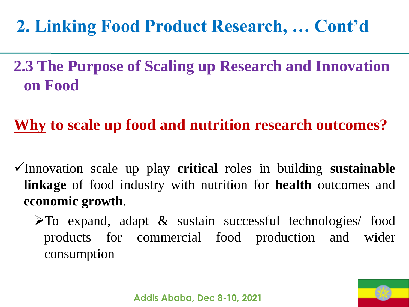### **2.3 The Purpose of Scaling up Research and Innovation on Food**

### **Why to scale up food and nutrition research outcomes?**

- Innovation scale up play **critical** roles in building **sustainable linkage** of food industry with nutrition for **health** outcomes and **economic growth**.
	- $\triangleright$  To expand, adapt & sustain successful technologies/ food products for commercial food production and wider consumption

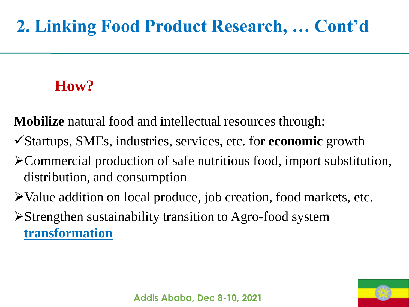### **How?**

**Mobilize** natural food and intellectual resources through:

- Startups, SMEs, industries, services, etc. for **economic** growth
- Commercial production of safe nutritious food, import substitution, distribution, and consumption
- Value addition on local produce, job creation, food markets, etc.
- Strengthen sustainability transition to Agro-food system **transformation**

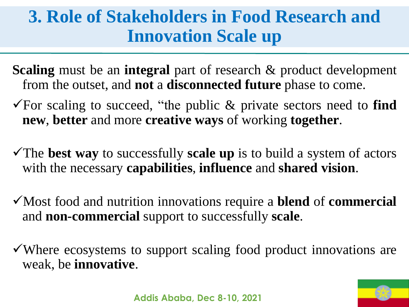### **3. Role of Stakeholders in Food Research and Innovation Scale up**

- **Scaling** must be an **integral** part of research & product development from the outset, and **not** a **disconnected future** phase to come.
- For scaling to succeed, "the public & private sectors need to **find new**, **better** and more **creative ways** of working **together**.
- The **best way** to successfully **scale up** is to build a system of actors with the necessary **capabilities**, **influence** and **shared vision**.
- Most food and nutrition innovations require a **blend** of **commercial** and **non-commercial** support to successfully **scale**.
- Where ecosystems to support scaling food product innovations are weak, be **innovative**.

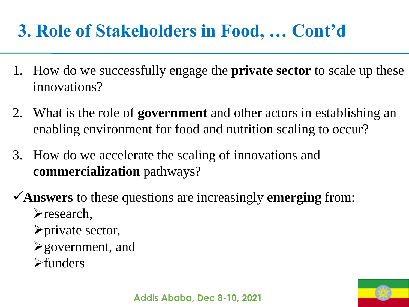- 1. How do we successfully engage the **private sector** to scale up these innovations?
- 2. What is the role of **government** and other actors in establishing an enabling environment for food and nutrition scaling to occur?
- 3. How do we accelerate the scaling of innovations and **commercialization** pathways?
- **Answers** to these questions are increasingly **emerging** from: research,
	- $\rho$ private sector,
	- $\blacktriangleright$  government, and
	- $\blacktriangleright$ funders

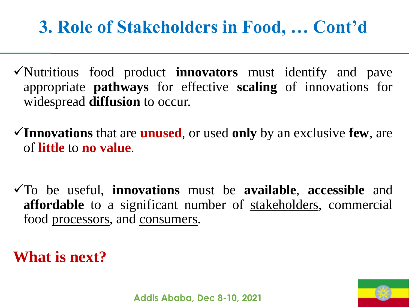- Nutritious food product **innovators** must identify and pave appropriate **pathways** for effective **scaling** of innovations for widespread **diffusion** to occur.
- **Innovations** that are **unused**, or used **only** by an exclusive **few**, are of **little** to **no value**.
- To be useful, **innovations** must be **available**, **accessible** and **affordable** to a significant number of stakeholders, commercial food processors, and consumers.

**What is next?**

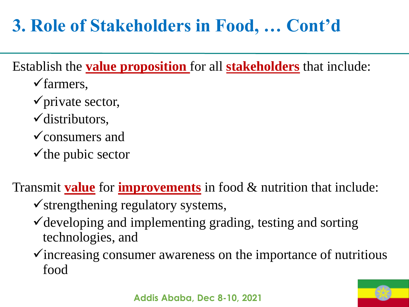Establish the **value proposition** for all **stakeholders** that include:

- $\checkmark$  farmers,
- $\checkmark$  private sector,
- distributors,
- $\checkmark$  consumers and
- $\checkmark$  the pubic sector

Transmit **value** for **improvements** in food & nutrition that include:

- $\checkmark$  strengthening regulatory systems,
- $\checkmark$  developing and implementing grading, testing and sorting technologies, and
- $\checkmark$  increasing consumer awareness on the importance of nutritious food

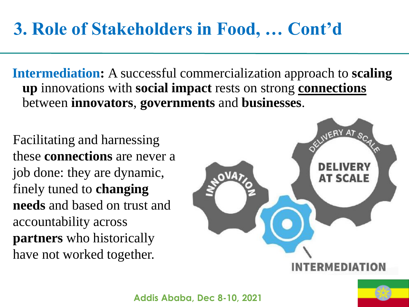**Intermediation:** A successful commercialization approach to **scaling up** innovations with **social impact** rests on strong **connections** between **innovators**, **governments** and **businesses**.

Facilitating and harnessing these **connections** are never a job done: they are dynamic, finely tuned to **changing needs** and based on trust and accountability across **partners** who historically have not worked together.

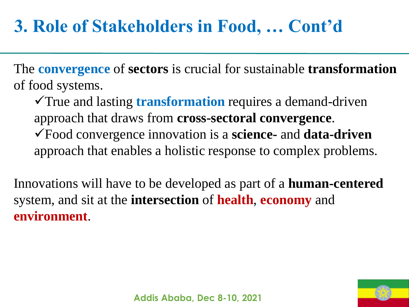The **convergence** of **sectors** is crucial for sustainable **transformation** of food systems.

True and lasting **transformation** requires a demand-driven approach that draws from **cross-sectoral convergence**. Food convergence innovation is a **science-** and **data-driven** approach that enables a holistic response to complex problems.

Innovations will have to be developed as part of a **human-centered**  system, and sit at the **intersection** of **health**, **economy** and **environment**.

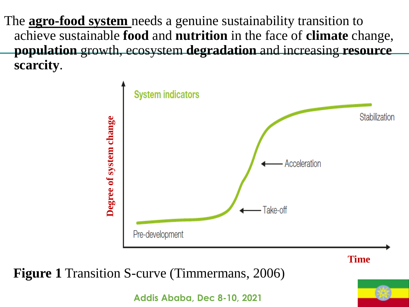The **agro-food system** needs a genuine sustainability transition to achieve sustainable **food** and **nutrition** in the face of **climate** change, **population** growth, ecosystem **degradation** and increasing **resource scarcity**.

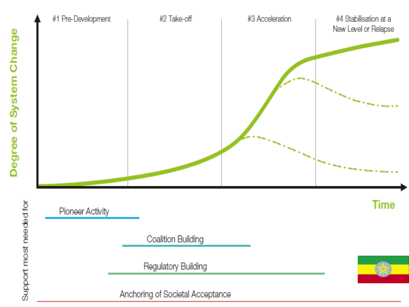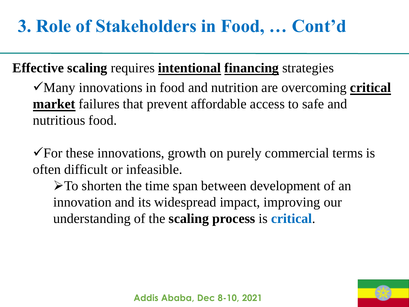#### **Effective scaling** requires **intentional financing** strategies

Many innovations in food and nutrition are overcoming **critical market** failures that prevent affordable access to safe and nutritious food.

 $\checkmark$  For these innovations, growth on purely commercial terms is often difficult or infeasible.

 $\triangleright$  To shorten the time span between development of an innovation and its widespread impact, improving our understanding of the **scaling process** is **critical**.

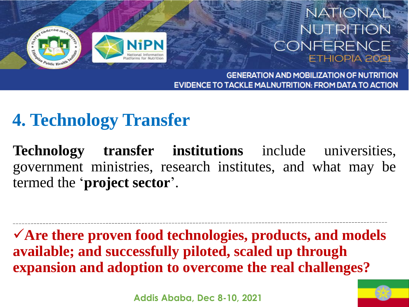



**GENERATION AND MOBILIZATION OF NUTRITION** EVIDENCE TO TACKLE MALNUTRITION: FROM DATA TO ACTION

## **4. Technology Transfer**

**Technology transfer institutions** include universities, government ministries, research institutes, and what may be termed the '**project sector**'.

**Are there proven food technologies, products, and models available; and successfully piloted, scaled up through expansion and adoption to overcome the real challenges?** 

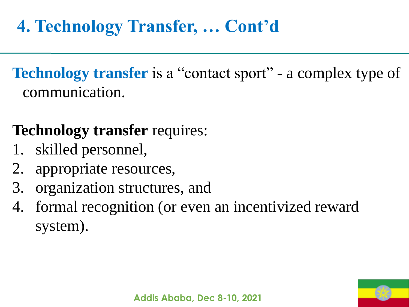# **4. Technology Transfer, … Cont'd**

**Technology transfer** is a "contact sport" - a complex type of communication.

### **Technology transfer** requires:

- 1. skilled personnel,
- 2. appropriate resources,
- 3. organization structures, and
- 4. formal recognition (or even an incentivized reward system).

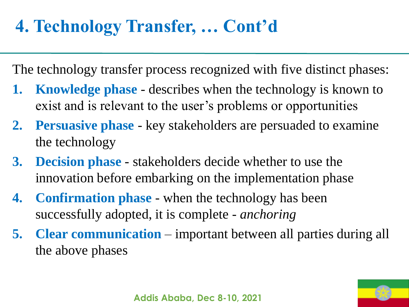# **4. Technology Transfer, … Cont'd**

The technology transfer process recognized with five distinct phases:

- **1. Knowledge phase**  describes when the technology is known to exist and is relevant to the user's problems or opportunities
- **2. Persuasive phase**  key stakeholders are persuaded to examine the technology
- **3. Decision phase**  stakeholders decide whether to use the innovation before embarking on the implementation phase
- **4. Confirmation phase**  when the technology has been successfully adopted, it is complete - *anchoring*
- **5. Clear communication** important between all parties during all the above phases

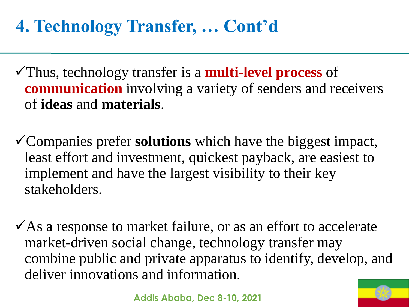# **4. Technology Transfer, … Cont'd**

- Thus, technology transfer is a **multi-level process** of **communication** involving a variety of senders and receivers of **ideas** and **materials**.
- Companies prefer **solutions** which have the biggest impact, least effort and investment, quickest payback, are easiest to implement and have the largest visibility to their key stakeholders.
- $\checkmark$  As a response to market failure, or as an effort to accelerate market-driven social change, technology transfer may combine public and private apparatus to identify, develop, and deliver innovations and information.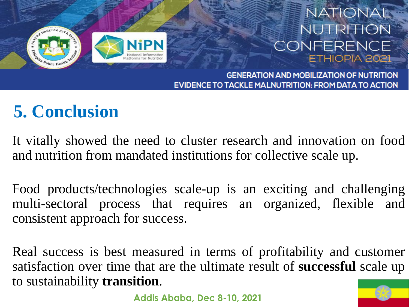

**GENERATION AND MOBILIZATION OF NUTRITION TACKLE MALNUTRITION: FROM DATA TO ACTION** 

# **5. Conclusion**

It vitally showed the need to cluster research and innovation on food and nutrition from mandated institutions for collective scale up.

Food products/technologies scale-up is an exciting and challenging multi-sectoral process that requires an organized, flexible and consistent approach for success.

Real success is best measured in terms of profitability and customer satisfaction over time that are the ultimate result of **successful** scale up to sustainability **transition**.

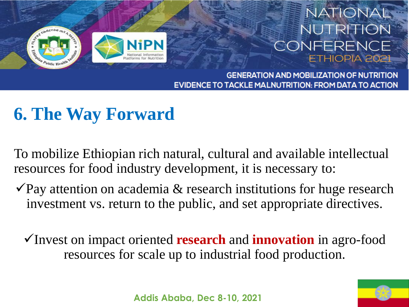

**GENERATION AND MOBILIZATION OF NUTRITION** EVIDENCE TO TACKLE MALNUTRITION: FROM DATA TO ACTION

# **6. The Way Forward**

To mobilize Ethiopian rich natural, cultural and available intellectual resources for food industry development, it is necessary to:

- $\sqrt{P}$ ay attention on academia & research institutions for huge research investment vs. return to the public, and set appropriate directives.
	- Invest on impact oriented **research** and **innovation** in agro-food resources for scale up to industrial food production.

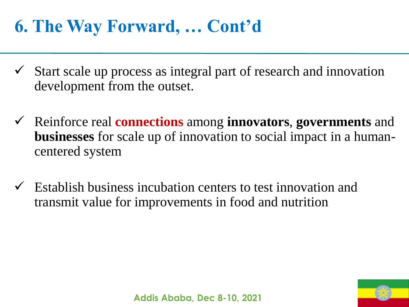## **6. The Way Forward, … Cont'd**

- $\checkmark$  Start scale up process as integral part of research and innovation development from the outset.
- Reinforce real **connections** among **innovators**, **governments** and **businesses** for scale up of innovation to social impact in a humancentered system
- Establish business incubation centers to test innovation and transmit value for improvements in food and nutrition